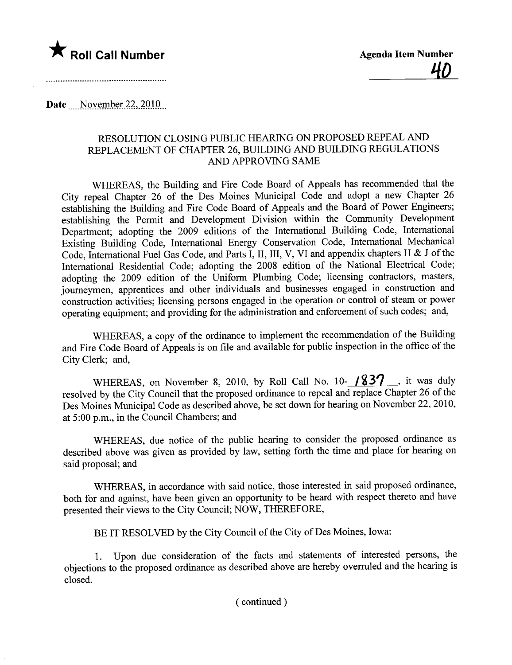

Date  $\sim$  November 22, 2010

## RESOLUTION CLOSING PUBLIC HEARING ON PROPOSED REPEAL AND REPLACEMENT OF CHAPTER 26, BUILDING AND BUILDING REGULATIONS AND APPROVING SAME

WHEREAS, the Building and Fire Code Board of Appeals has recommended that the City repeal Chapter 26 of the Des Moines Municipal Code and adopt a new Chapter 26 establishing the Building and Fire Code Board of Appeals and the Board of Power Engineers; establishing the Permit and Development Division within the Community Development Deparment; adopting the 2009 editions of the International Building Code, International Existing Building Code, International Energy Conservation Code, International Mechanical Code, International Fuel Gas Code, and Parts I, II, III, V, VI and appendix chapters H & J of the International Residential Code; adopting the 2008 edition of the National Electrical Code; adopting the 2009 edition of the Uniform Plumbing Code; licensing contractors, masters, journeymen, apprentices and other individuals and businesses engaged in construction and construction activities; licensing persons engaged in the operation or control of steam or power operating equipment; and providing for the administration and enforcement of such codes; and,

WHEREAS, a copy of the ordinance to implement the recommendation of the Building and Fire Code Board of Appeals is on fie and available for public inspection in the office of the City Clerk; and,

WHEREAS, on November 8, 2010, by Roll Call No. 10- $\frac{1837}{ }$ , it was duly resolved by the City Council that the proposed ordinance to repeal and replace Chapter 26 of the Des Moines Municipal Code as described above, be set down for hearing on November 22,2010, at 5 :00 p.m., in the Council Chambers; and

WHEREAS, due notice of the public hearing to consider the proposed ordinance as described above was given as provided by law, setting forth the time and place for hearing on said proposal; and

WHEREAS, in accordance with said notice, those interested in said proposed ordinance, both for and against, have been given an opportunity to be heard with respect thereto and have presented their views to the City Council; NOW, THEREFORE,

BE IT RESOLVED by the City Council of the City of Des Moines, Iowa:

1. Upon due consideration of the facts and statements of interested persons, the objections to the proposed ordinance as described above are hereby overruled and the hearing is closed.

( continued)